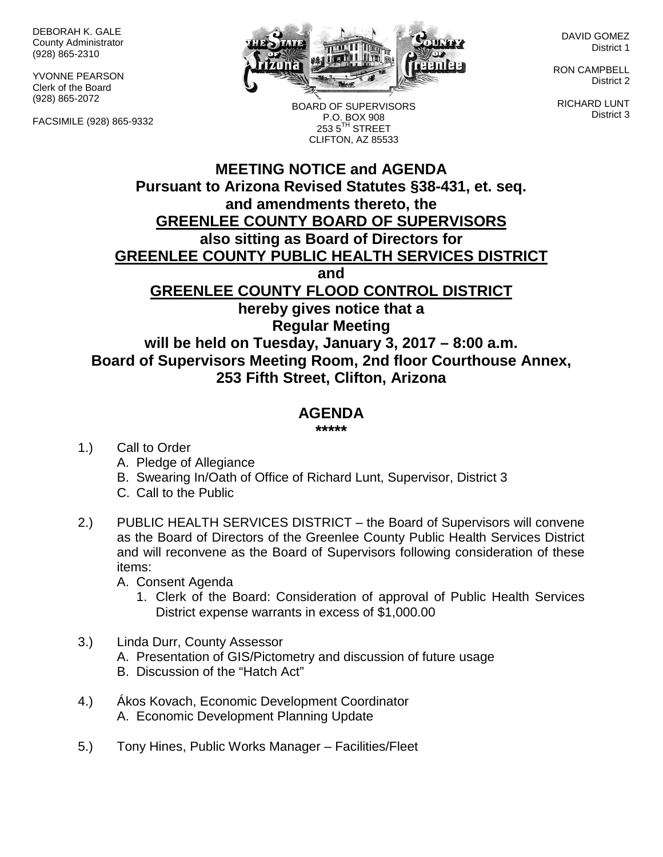DEBORAH K. GALE County Administrator (928) 865-2310

YVONNE PEARSON Clerk of the Board (928) 865-2072

FACSIMILE (928) 865-9332



BOARD OF SUPERVISORS P.O. BOX 908  $2535^{\text{TH}}$  STREET CLIFTON, AZ 85533

DAVID GOMEZ District 1

RON CAMPBELL District 2

RICHARD LUNT District 3

## **MEETING NOTICE and AGENDA Pursuant to Arizona Revised Statutes §38-431, et. seq. and amendments thereto, the GREENLEE COUNTY BOARD OF SUPERVISORS also sitting as Board of Directors for GREENLEE COUNTY PUBLIC HEALTH SERVICES DISTRICT and GREENLEE COUNTY FLOOD CONTROL DISTRICT hereby gives notice that a Regular Meeting will be held on Tuesday, January 3, 2017 – 8:00 a.m. Board of Supervisors Meeting Room, 2nd floor Courthouse Annex, 253 Fifth Street, Clifton, Arizona**

## **AGENDA**

**\*\*\*\*\***

- 1.) Call to Order
	- A. Pledge of Allegiance
	- B. Swearing In/Oath of Office of Richard Lunt, Supervisor, District 3
	- C. Call to the Public
- 2.) PUBLIC HEALTH SERVICES DISTRICT the Board of Supervisors will convene as the Board of Directors of the Greenlee County Public Health Services District and will reconvene as the Board of Supervisors following consideration of these items:
	- A. Consent Agenda
		- 1. Clerk of the Board: Consideration of approval of Public Health Services District expense warrants in excess of \$1,000.00
- 3.) Linda Durr, County Assessor
	- A. Presentation of GIS/Pictometry and discussion of future usage
	- B. Discussion of the "Hatch Act"
- 4.) Ákos Kovach, Economic Development Coordinator A. Economic Development Planning Update
- 5.) Tony Hines, Public Works Manager Facilities/Fleet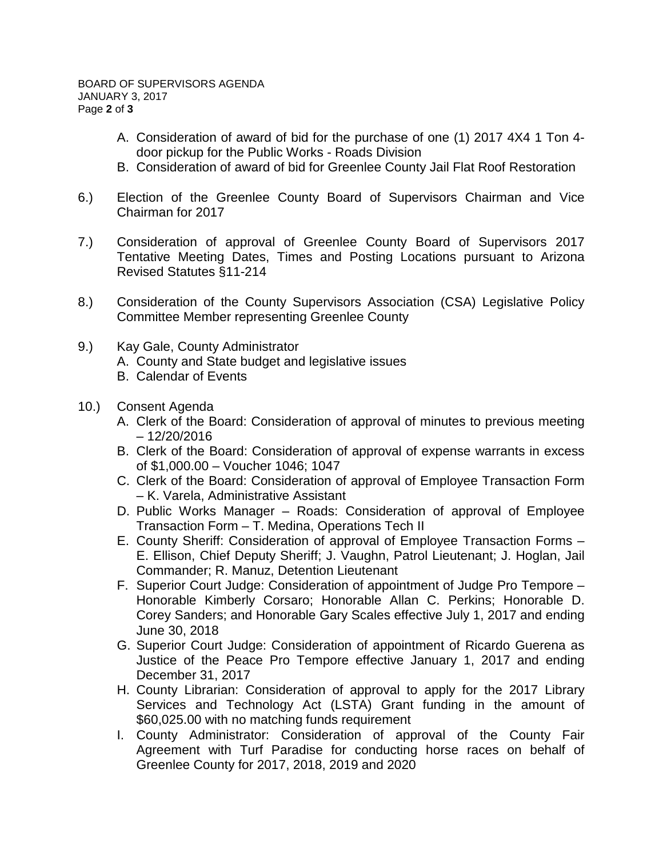- A. Consideration of award of bid for the purchase of one (1) 2017 4X4 1 Ton 4 door pickup for the Public Works - Roads Division
- B. Consideration of award of bid for Greenlee County Jail Flat Roof Restoration
- 6.) Election of the Greenlee County Board of Supervisors Chairman and Vice Chairman for 2017
- 7.) Consideration of approval of Greenlee County Board of Supervisors 2017 Tentative Meeting Dates, Times and Posting Locations pursuant to Arizona Revised Statutes §11-214
- 8.) Consideration of the County Supervisors Association (CSA) Legislative Policy Committee Member representing Greenlee County
- 9.) Kay Gale, County Administrator
	- A. County and State budget and legislative issues
	- B. Calendar of Events
- 10.) Consent Agenda
	- A. Clerk of the Board: Consideration of approval of minutes to previous meeting – 12/20/2016
	- B. Clerk of the Board: Consideration of approval of expense warrants in excess of \$1,000.00 – Voucher 1046; 1047
	- C. Clerk of the Board: Consideration of approval of Employee Transaction Form – K. Varela, Administrative Assistant
	- D. Public Works Manager Roads: Consideration of approval of Employee Transaction Form – T. Medina, Operations Tech II
	- E. County Sheriff: Consideration of approval of Employee Transaction Forms E. Ellison, Chief Deputy Sheriff; J. Vaughn, Patrol Lieutenant; J. Hoglan, Jail Commander; R. Manuz, Detention Lieutenant
	- F. Superior Court Judge: Consideration of appointment of Judge Pro Tempore Honorable Kimberly Corsaro; Honorable Allan C. Perkins; Honorable D. Corey Sanders; and Honorable Gary Scales effective July 1, 2017 and ending June 30, 2018
	- G. Superior Court Judge: Consideration of appointment of Ricardo Guerena as Justice of the Peace Pro Tempore effective January 1, 2017 and ending December 31, 2017
	- H. County Librarian: Consideration of approval to apply for the 2017 Library Services and Technology Act (LSTA) Grant funding in the amount of \$60,025.00 with no matching funds requirement
	- I. County Administrator: Consideration of approval of the County Fair Agreement with Turf Paradise for conducting horse races on behalf of Greenlee County for 2017, 2018, 2019 and 2020